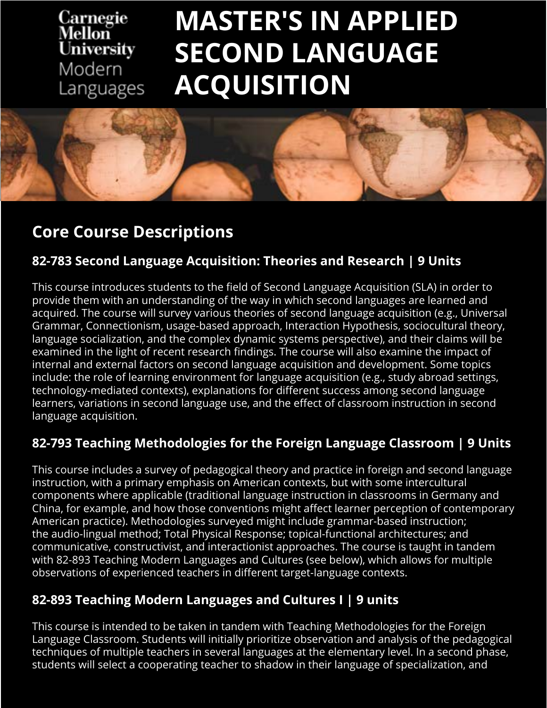#### Carnegie Mellon **University** Modern Languages

# **MASTER'S IN APPLIED SECOND LANGUAGE ACQUISITION**



### **Core Course Descriptions**

#### **82-783 Second Language Acquisition: Theories and Research | 9 Units**

This course introduces students to the field of Second Language Acquisition (SLA) in order to provide them with an understanding of the way in which second languages are learned and acquired. The course will survey various theories of second language acquisition (e.g., Universal Grammar, Connectionism, usage-based approach, Interaction Hypothesis, sociocultural theory, language socialization, and the complex dynamic systems perspective), and their claims will be examined in the light of recent research findings. The course will also examine the impact of internal and external factors on second language acquisition and development. Some topics include: the role of learning environment for language acquisition (e.g., study abroad settings, technology-mediated contexts), explanations for different success among second language learners, variations in second language use, and the effect of classroom instruction in second language acquisition.

#### **82-793 Teaching Methodologies for the Foreign Language Classroom | 9 Units**

This course includes a survey of pedagogical theory and practice in foreign and second language instruction, with a primary emphasis on American contexts, but with some intercultural components where applicable (traditional language instruction in classrooms in Germany and China, for example, and how those conventions might affect learner perception of contemporary American practice). Methodologies surveyed might include grammar-based instruction; the audio-lingual method; Total Physical Response; topical-functional architectures; and communicative, constructivist, and interactionist approaches. The course is taught in tandem with 82-893 Teaching Modern Languages and Cultures (see below), which allows for multiple observations of experienced teachers in different target-language contexts.

#### **82-893 Teaching Modern Languages and Cultures I | 9 units**

This course is intended to be taken in tandem with Teaching Methodologies for the Foreign Language Classroom. Students will initially prioritize observation and analysis of the pedagogical techniques of multiple teachers in several languages at the elementary level. In a second phase, students will select a cooperating teacher to shadow in their language of specialization, and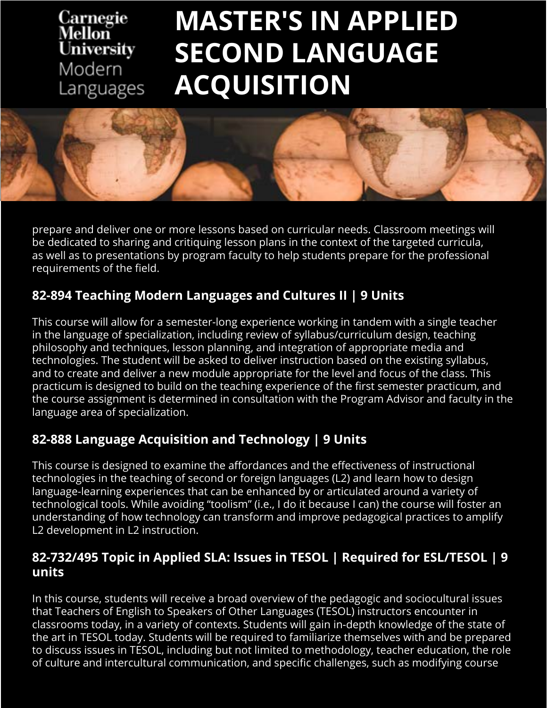### Carnegie<br>Mellon **University** Modern Languages

# **MASTER'S IN APPLIED SECOND LANGUAGE ACQUISITION**



prepare and deliver one or more lessons based on curricular needs. Classroom meetings will be dedicated to sharing and critiquing lesson plans in the context of the targeted curricula, as well as to presentations by program faculty to help students prepare for the professional requirements of the field.

#### **82-894 Teaching Modern Languages and Cultures II | 9 Units**

This course will allow for a semester-long experience working in tandem with a single teacher in the language of specialization, including review of syllabus/curriculum design, teaching philosophy and techniques, lesson planning, and integration of appropriate media and technologies. The student will be asked to deliver instruction based on the existing syllabus, and to create and deliver a new module appropriate for the level and focus of the class. This practicum is designed to build on the teaching experience of the first semester practicum, and the course assignment is determined in consultation with the Program Advisor and faculty in the language area of specialization.

#### **82-888 Language Acquisition and Technology | 9 Units**

This course is designed to examine the affordances and the effectiveness of instructional technologies in the teaching of second or foreign languages (L2) and learn how to design language-learning experiences that can be enhanced by or articulated around a variety of technological tools. While avoiding "toolism" (i.e., I do it because I can) the course will foster an understanding of how technology can transform and improve pedagogical practices to amplify L2 development in L2 instruction.

#### **82-732/495 Topic in Applied SLA: Issues in TESOL | Required for ESL/TESOL | 9 units**

In this course, students will receive a broad overview of the pedagogic and sociocultural issues that Teachers of English to Speakers of Other Languages (TESOL) instructors encounter in classrooms today, in a variety of contexts. Students will gain in-depth knowledge of the state of the art in TESOL today. Students will be required to familiarize themselves with and be prepared to discuss issues in TESOL, including but not limited to methodology, teacher education, the role of culture and intercultural communication, and specific challenges, such as modifying course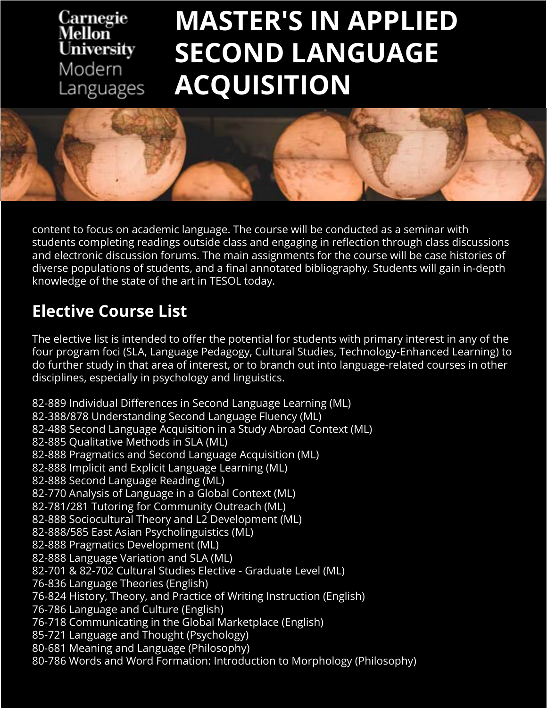#### Carnegie Mellon **University** Modern Languages

# **MASTER'S IN APPLIED SECOND LANGUAGE ACQUISITION**



content to focus on academic language. The course will be conducted as a seminar with students completing readings outside class and engaging in reflection through class discussions and electronic discussion forums. The main assignments for the course will be case histories of diverse populations of students, and a final annotated bibliography. Students will gain in-depth knowledge of the state of the art in TESOL today.

### **Elective Course List**

The elective list is intended to offer the potential for students with primary interest in any of the four program foci (SLA, Language Pedagogy, Cultural Studies, Technology-Enhanced Learning) to do further study in that area of interest, or to branch out into language-related courses in other disciplines, especially in psychology and linguistics.

82-889 Individual Differences in Second Language Learning (ML) 82-388/878 Understanding Second Language Fluency (ML) 82-488 Second Language Acquisition in a Study Abroad Context (ML) 82-885 Qualitative Methods in SLA (ML) 82-888 Pragmatics and Second Language Acquisition (ML) 82-888 Implicit and Explicit Language Learning (ML) 82-888 Second Language Reading (ML) 82-770 Analysis of Language in a Global Context (ML) 82-781/281 Tutoring for Community Outreach (ML) 82-888 Sociocultural Theory and L2 Development (ML) 82-888/585 East Asian Psycholinguistics (ML) 82-888 Pragmatics Development (ML) 82-888 Language Variation and SLA (ML) 82-701 & 82-702 Cultural Studies Elective - Graduate Level (ML) 76-836 Language Theories (English) 76-824 History, Theory, and Practice of Writing Instruction (English) 76-786 Language and Culture (English) 76-718 Communicating in the Global Marketplace (English) 85-721 Language and Thought (Psychology) 80-681 Meaning and Language (Philosophy) 80-786 Words and Word Formation: Introduction to Morphology (Philosophy)